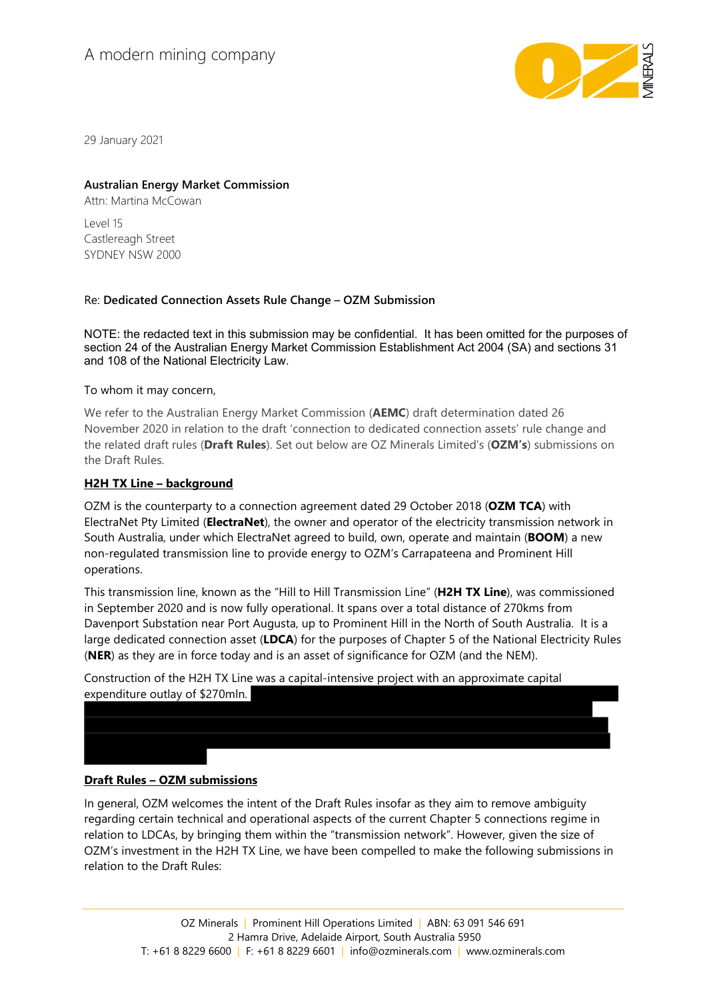# A modern mining company



29 January 2021

## Australian Energy Market Commission

Attn: Martina McCowan

 $|$  AVA $|$  15 Castlereagh Street SYDNEY NSW 2000

## Re: Dedicated Connection Assets Rule Change – OZM Submission

NOTE: the redacted text in this submission may be confidential. It has been omitted for the purposes of section 24 of the Australian Energy Market Commission Establishment Act 2004 (SA) and sections 31 and 108 of the National Electricity Law.

To whom it may concern,

We refer to the Australian Energy Market Commission (**AEMC**) draft determination dated 26 November 2020 in relation to the draft 'connection to dedicated connection assets' rule change and the related draft rules (Draft Rules). Set out below are OZ Minerals Limited's (OZM's) submissions on the Draft Rules.

## H2H TX Line – background

OZM is the counterparty to a connection agreement dated 29 October 2018 (OZM TCA) with ElectraNet Pty Limited (ElectraNet), the owner and operator of the electricity transmission network in South Australia, under which ElectraNet agreed to build, own, operate and maintain (BOOM) a new non-regulated transmission line to provide energy to OZM's Carrapateena and Prominent Hill operations.

This transmission line, known as the "Hill to Hill Transmission Line" (H2H TX Line), was commissioned in September 2020 and is now fully operational. It spans over a total distance of 270kms from Davenport Substation near Port Augusta, up to Prominent Hill in the North of South Australia. It is a large dedicated connection asset (LDCA) for the purposes of Chapter 5 of the National Electricity Rules (NER) as they are in force today and is an asset of significance for OZM (and the NEM).

Construction of the H2H TX Line was a capital-intensive project with an approximate capital expenditure outlay of \$270mln.

## Draft Rules – OZM submissions

In general, OZM welcomes the intent of the Draft Rules insofar as they aim to remove ambiguity regarding certain technical and operational aspects of the current Chapter 5 connections regime in relation to LDCAs, by bringing them within the "transmission network". However, given the size of OZM's investment in the H2H TX Line, we have been compelled to make the following submissions in relation to the Draft Rules: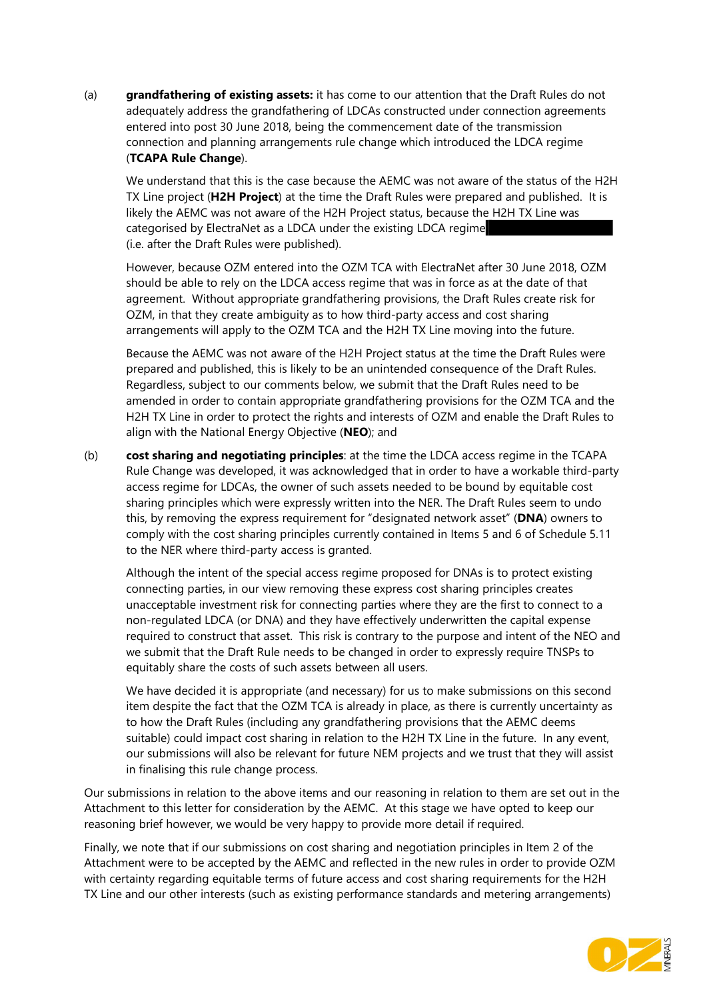(a) **grandfathering of existing assets:** it has come to our attention that the Draft Rules do not adequately address the grandfathering of LDCAs constructed under connection agreements entered into post 30 June 2018, being the commencement date of the transmission connection and planning arrangements rule change which introduced the LDCA regime (TCAPA Rule Change).

We understand that this is the case because the AEMC was not aware of the status of the H2H TX Line project (H2H Project) at the time the Draft Rules were prepared and published. It is likely the AEMC was not aware of the H2H Project status, because the H2H TX Line was categorised by ElectraNet as a LDCA under the existing LDCA regime (i.e. after the Draft Rules were published).

However, because OZM entered into the OZM TCA with ElectraNet after 30 June 2018, OZM should be able to rely on the LDCA access regime that was in force as at the date of that agreement. Without appropriate grandfathering provisions, the Draft Rules create risk for OZM, in that they create ambiguity as to how third-party access and cost sharing arrangements will apply to the OZM TCA and the H2H TX Line moving into the future.

Because the AEMC was not aware of the H2H Project status at the time the Draft Rules were prepared and published, this is likely to be an unintended consequence of the Draft Rules. Regardless, subject to our comments below, we submit that the Draft Rules need to be amended in order to contain appropriate grandfathering provisions for the OZM TCA and the H2H TX Line in order to protect the rights and interests of OZM and enable the Draft Rules to align with the National Energy Objective (NEO); and

(b) cost sharing and negotiating principles: at the time the LDCA access regime in the TCAPA Rule Change was developed, it was acknowledged that in order to have a workable third-party access regime for LDCAs, the owner of such assets needed to be bound by equitable cost sharing principles which were expressly written into the NER. The Draft Rules seem to undo this, by removing the express requirement for "designated network asset" (DNA) owners to comply with the cost sharing principles currently contained in Items 5 and 6 of Schedule 5.11 to the NER where third-party access is granted.

Although the intent of the special access regime proposed for DNAs is to protect existing connecting parties, in our view removing these express cost sharing principles creates unacceptable investment risk for connecting parties where they are the first to connect to a non-regulated LDCA (or DNA) and they have effectively underwritten the capital expense required to construct that asset. This risk is contrary to the purpose and intent of the NEO and we submit that the Draft Rule needs to be changed in order to expressly require TNSPs to equitably share the costs of such assets between all users.

We have decided it is appropriate (and necessary) for us to make submissions on this second item despite the fact that the OZM TCA is already in place, as there is currently uncertainty as to how the Draft Rules (including any grandfathering provisions that the AEMC deems suitable) could impact cost sharing in relation to the H2H TX Line in the future. In any event, our submissions will also be relevant for future NEM projects and we trust that they will assist in finalising this rule change process.

Our submissions in relation to the above items and our reasoning in relation to them are set out in the Attachment to this letter for consideration by the AEMC. At this stage we have opted to keep our reasoning brief however, we would be very happy to provide more detail if required.

Finally, we note that if our submissions on cost sharing and negotiation principles in Item 2 of the Attachment were to be accepted by the AEMC and reflected in the new rules in order to provide OZM with certainty regarding equitable terms of future access and cost sharing requirements for the H2H TX Line and our other interests (such as existing performance standards and metering arrangements)

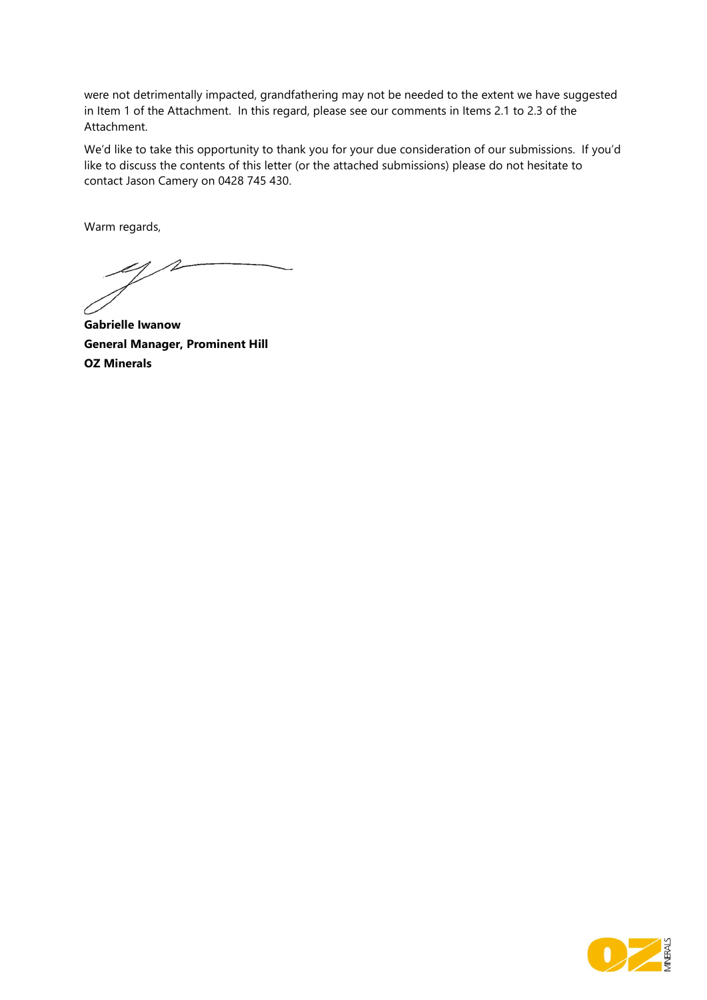were not detrimentally impacted, grandfathering may not be needed to the extent we have suggested in Item 1 of the Attachment. In this regard, please see our comments in Items 2.1 to 2.3 of the Attachment.

We'd like to take this opportunity to thank you for your due consideration of our submissions. If you'd like to discuss the contents of this letter (or the attached submissions) please do not hesitate to contact Jason Camery on 0428 745 430.

Warm regards,

 $\mathcal{A}$ 1 .

Gabrielle Iwanow General Manager, Prominent Hill OZ Minerals

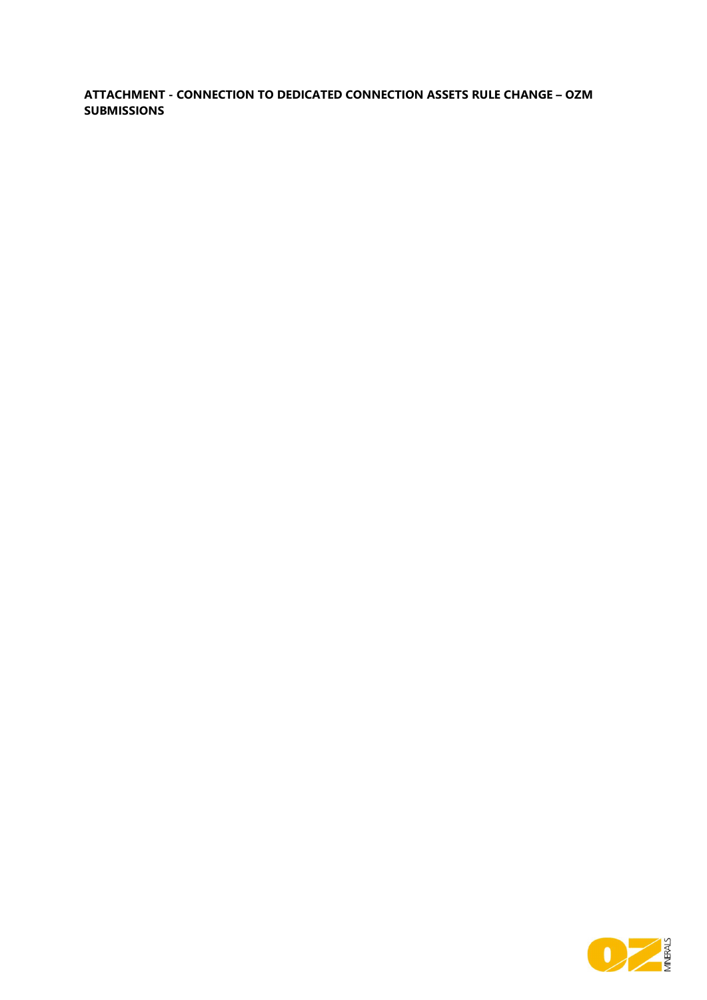## ATTACHMENT - CONNECTION TO DEDICATED CONNECTION ASSETS RULE CHANGE – OZM SUBMISSIONS

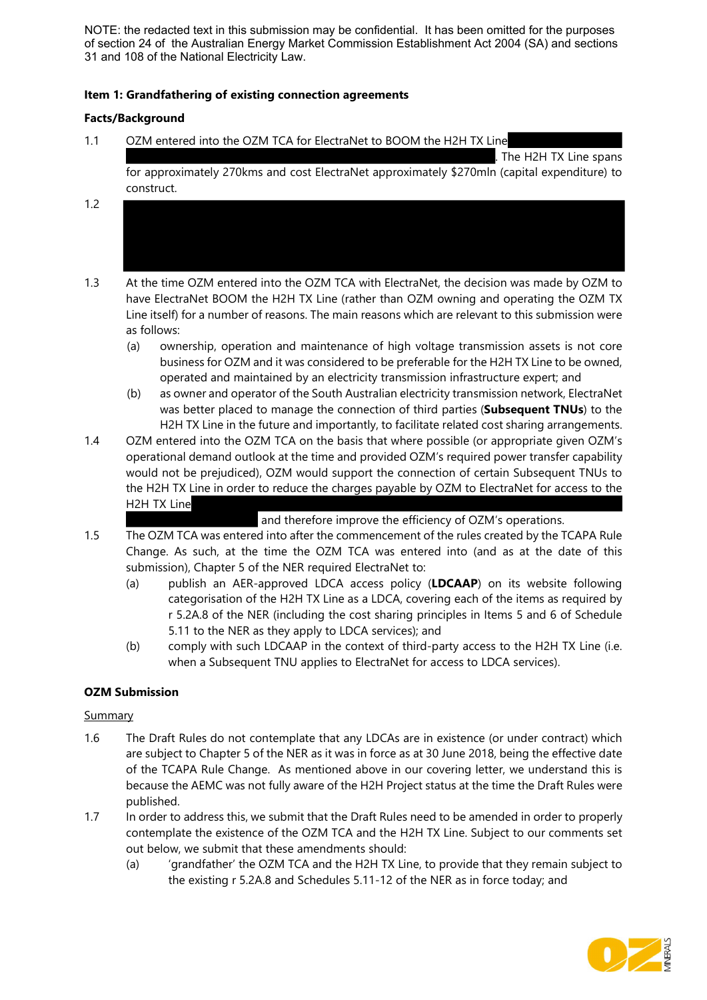NOTE: the redacted text in this submission may be confidential. It has been omitted for the purposes of section 24 of the Australian Energy Market Commission Establishment Act 2004 (SA) and sections 31 and 108 of the National Electricity Law.

## Item 1: Grandfathering of existing connection agreements

## Facts/Background

1.1 OZM entered into the OZM TCA for ElectraNet to BOOM the H2H TX Line

. The H2H TX Line spans

for approximately 270kms and cost ElectraNet approximately \$270mln (capital expenditure) to construct.

- 1.2
- 1.3 At the time OZM entered into the OZM TCA with ElectraNet, the decision was made by OZM to have ElectraNet BOOM the H2H TX Line (rather than OZM owning and operating the OZM TX Line itself) for a number of reasons. The main reasons which are relevant to this submission were as follows:
	- (a) ownership, operation and maintenance of high voltage transmission assets is not core business for OZM and it was considered to be preferable for the H2H TX Line to be owned, operated and maintained by an electricity transmission infrastructure expert; and
	- (b) as owner and operator of the South Australian electricity transmission network, ElectraNet was better placed to manage the connection of third parties (Subsequent TNUs) to the H2H TX Line in the future and importantly, to facilitate related cost sharing arrangements.
- 1.4 OZM entered into the OZM TCA on the basis that where possible (or appropriate given OZM's operational demand outlook at the time and provided OZM's required power transfer capability would not be prejudiced), OZM would support the connection of certain Subsequent TNUs to the H2H TX Line in order to reduce the charges payable by OZM to ElectraNet for access to the H2H TX Line

and therefore improve the efficiency of OZM's operations.

- 1.5 The OZM TCA was entered into after the commencement of the rules created by the TCAPA Rule Change. As such, at the time the OZM TCA was entered into (and as at the date of this submission), Chapter 5 of the NER required ElectraNet to:
	- (a) publish an AER-approved LDCA access policy (LDCAAP) on its website following categorisation of the H2H TX Line as a LDCA, covering each of the items as required by r 5.2A.8 of the NER (including the cost sharing principles in Items 5 and 6 of Schedule 5.11 to the NER as they apply to LDCA services); and
	- (b) comply with such LDCAAP in the context of third-party access to the H2H TX Line (i.e. when a Subsequent TNU applies to ElectraNet for access to LDCA services).

## OZM Submission

## **Summary**

- 1.6 The Draft Rules do not contemplate that any LDCAs are in existence (or under contract) which are subject to Chapter 5 of the NER as it was in force as at 30 June 2018, being the effective date of the TCAPA Rule Change. As mentioned above in our covering letter, we understand this is because the AEMC was not fully aware of the H2H Project status at the time the Draft Rules were published.
- 1.7 In order to address this, we submit that the Draft Rules need to be amended in order to properly contemplate the existence of the OZM TCA and the H2H TX Line. Subject to our comments set out below, we submit that these amendments should:
	- (a) 'grandfather' the OZM TCA and the H2H TX Line, to provide that they remain subject to the existing r 5.2A.8 and Schedules 5.11-12 of the NER as in force today; and

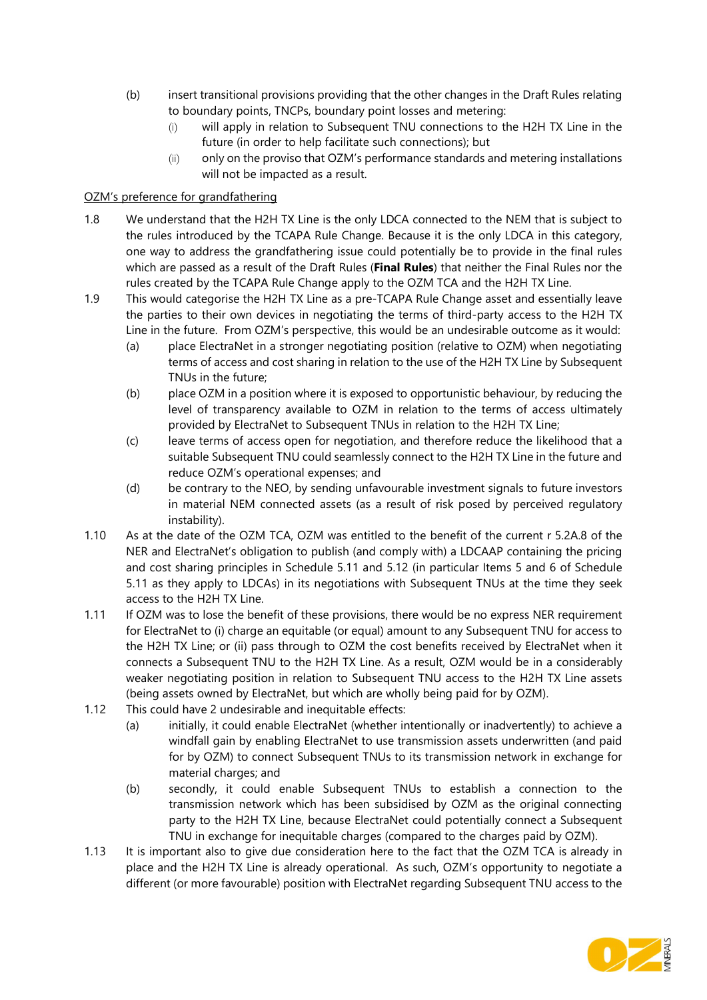- (b) insert transitional provisions providing that the other changes in the Draft Rules relating to boundary points, TNCPs, boundary point losses and metering:
	- (i) will apply in relation to Subsequent TNU connections to the H2H TX Line in the future (in order to help facilitate such connections); but
	- (ii) only on the proviso that OZM's performance standards and metering installations will not be impacted as a result.

## OZM's preference for grandfathering

- 1.8 We understand that the H2H TX Line is the only LDCA connected to the NEM that is subject to the rules introduced by the TCAPA Rule Change. Because it is the only LDCA in this category, one way to address the grandfathering issue could potentially be to provide in the final rules which are passed as a result of the Draft Rules (Final Rules) that neither the Final Rules nor the rules created by the TCAPA Rule Change apply to the OZM TCA and the H2H TX Line.
- 1.9 This would categorise the H2H TX Line as a pre-TCAPA Rule Change asset and essentially leave the parties to their own devices in negotiating the terms of third-party access to the H2H TX Line in the future. From OZM's perspective, this would be an undesirable outcome as it would:
	- (a) place ElectraNet in a stronger negotiating position (relative to OZM) when negotiating terms of access and cost sharing in relation to the use of the H2H TX Line by Subsequent TNUs in the future;
	- (b) place OZM in a position where it is exposed to opportunistic behaviour, by reducing the level of transparency available to OZM in relation to the terms of access ultimately provided by ElectraNet to Subsequent TNUs in relation to the H2H TX Line;
	- (c) leave terms of access open for negotiation, and therefore reduce the likelihood that a suitable Subsequent TNU could seamlessly connect to the H2H TX Line in the future and reduce OZM's operational expenses; and
	- (d) be contrary to the NEO, by sending unfavourable investment signals to future investors in material NEM connected assets (as a result of risk posed by perceived regulatory instability).
- 1.10 As at the date of the OZM TCA, OZM was entitled to the benefit of the current r 5.2A.8 of the NER and ElectraNet's obligation to publish (and comply with) a LDCAAP containing the pricing and cost sharing principles in Schedule 5.11 and 5.12 (in particular Items 5 and 6 of Schedule 5.11 as they apply to LDCAs) in its negotiations with Subsequent TNUs at the time they seek access to the H2H TX Line.
- 1.11 If OZM was to lose the benefit of these provisions, there would be no express NER requirement for ElectraNet to (i) charge an equitable (or equal) amount to any Subsequent TNU for access to the H2H TX Line; or (ii) pass through to OZM the cost benefits received by ElectraNet when it connects a Subsequent TNU to the H2H TX Line. As a result, OZM would be in a considerably weaker negotiating position in relation to Subsequent TNU access to the H2H TX Line assets (being assets owned by ElectraNet, but which are wholly being paid for by OZM).
- 1.12 This could have 2 undesirable and inequitable effects:
	- (a) initially, it could enable ElectraNet (whether intentionally or inadvertently) to achieve a windfall gain by enabling ElectraNet to use transmission assets underwritten (and paid for by OZM) to connect Subsequent TNUs to its transmission network in exchange for material charges; and
	- (b) secondly, it could enable Subsequent TNUs to establish a connection to the transmission network which has been subsidised by OZM as the original connecting party to the H2H TX Line, because ElectraNet could potentially connect a Subsequent TNU in exchange for inequitable charges (compared to the charges paid by OZM).
- 1.13 It is important also to give due consideration here to the fact that the OZM TCA is already in place and the H2H TX Line is already operational. As such, OZM's opportunity to negotiate a different (or more favourable) position with ElectraNet regarding Subsequent TNU access to the

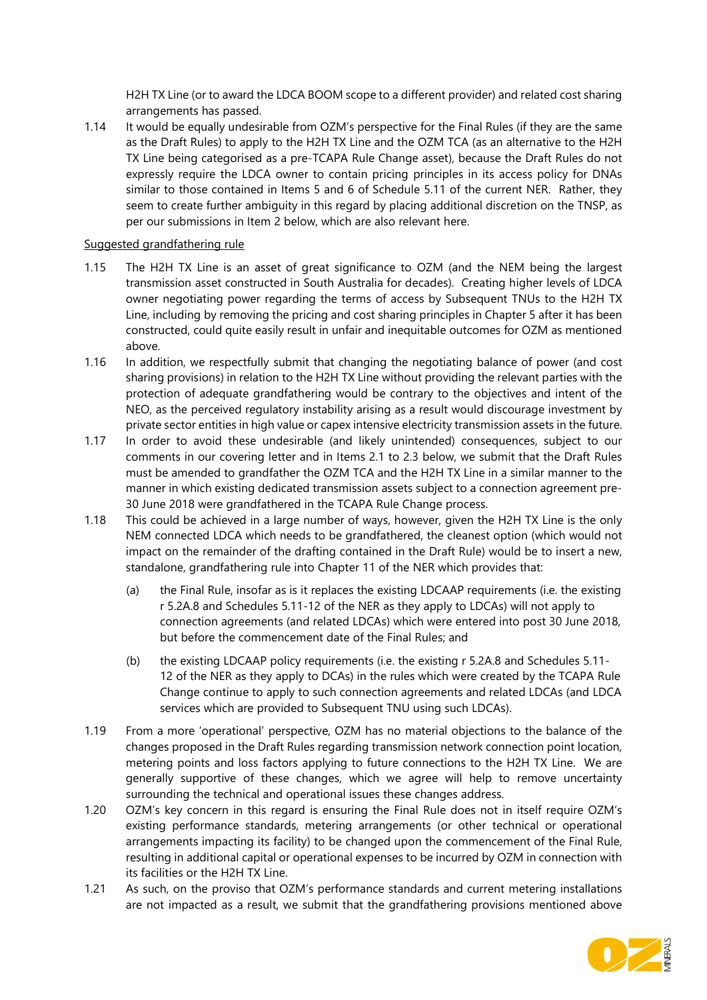H2H TX Line (or to award the LDCA BOOM scope to a different provider) and related cost sharing arrangements has passed.

1.14 It would be equally undesirable from OZM's perspective for the Final Rules (if they are the same as the Draft Rules) to apply to the H2H TX Line and the OZM TCA (as an alternative to the H2H TX Line being categorised as a pre-TCAPA Rule Change asset), because the Draft Rules do not expressly require the LDCA owner to contain pricing principles in its access policy for DNAs similar to those contained in Items 5 and 6 of Schedule 5.11 of the current NER. Rather, they seem to create further ambiguity in this regard by placing additional discretion on the TNSP, as per our submissions in Item 2 below, which are also relevant here.

## Suggested grandfathering rule

- 1.15 The H2H TX Line is an asset of great significance to OZM (and the NEM being the largest transmission asset constructed in South Australia for decades). Creating higher levels of LDCA owner negotiating power regarding the terms of access by Subsequent TNUs to the H2H TX Line, including by removing the pricing and cost sharing principles in Chapter 5 after it has been constructed, could quite easily result in unfair and inequitable outcomes for OZM as mentioned above.
- 1.16 In addition, we respectfully submit that changing the negotiating balance of power (and cost sharing provisions) in relation to the H2H TX Line without providing the relevant parties with the protection of adequate grandfathering would be contrary to the objectives and intent of the NEO, as the perceived regulatory instability arising as a result would discourage investment by private sector entities in high value or capex intensive electricity transmission assets in the future.
- 1.17 In order to avoid these undesirable (and likely unintended) consequences, subject to our comments in our covering letter and in Items 2.1 to 2.3 below, we submit that the Draft Rules must be amended to grandfather the OZM TCA and the H2H TX Line in a similar manner to the manner in which existing dedicated transmission assets subject to a connection agreement pre-30 June 2018 were grandfathered in the TCAPA Rule Change process.
- 1.18 This could be achieved in a large number of ways, however, given the H2H TX Line is the only NEM connected LDCA which needs to be grandfathered, the cleanest option (which would not impact on the remainder of the drafting contained in the Draft Rule) would be to insert a new, standalone, grandfathering rule into Chapter 11 of the NER which provides that:
	- (a) the Final Rule, insofar as is it replaces the existing LDCAAP requirements (i.e. the existing r 5.2A.8 and Schedules 5.11-12 of the NER as they apply to LDCAs) will not apply to connection agreements (and related LDCAs) which were entered into post 30 June 2018, but before the commencement date of the Final Rules; and
	- (b) the existing LDCAAP policy requirements (i.e. the existing r 5.2A.8 and Schedules 5.11- 12 of the NER as they apply to DCAs) in the rules which were created by the TCAPA Rule Change continue to apply to such connection agreements and related LDCAs (and LDCA services which are provided to Subsequent TNU using such LDCAs).
- 1.19 From a more 'operational' perspective, OZM has no material objections to the balance of the changes proposed in the Draft Rules regarding transmission network connection point location, metering points and loss factors applying to future connections to the H2H TX Line. We are generally supportive of these changes, which we agree will help to remove uncertainty surrounding the technical and operational issues these changes address.
- 1.20 OZM's key concern in this regard is ensuring the Final Rule does not in itself require OZM's existing performance standards, metering arrangements (or other technical or operational arrangements impacting its facility) to be changed upon the commencement of the Final Rule, resulting in additional capital or operational expenses to be incurred by OZM in connection with its facilities or the H2H TX Line.
- 1.21 As such, on the proviso that OZM's performance standards and current metering installations are not impacted as a result, we submit that the grandfathering provisions mentioned above

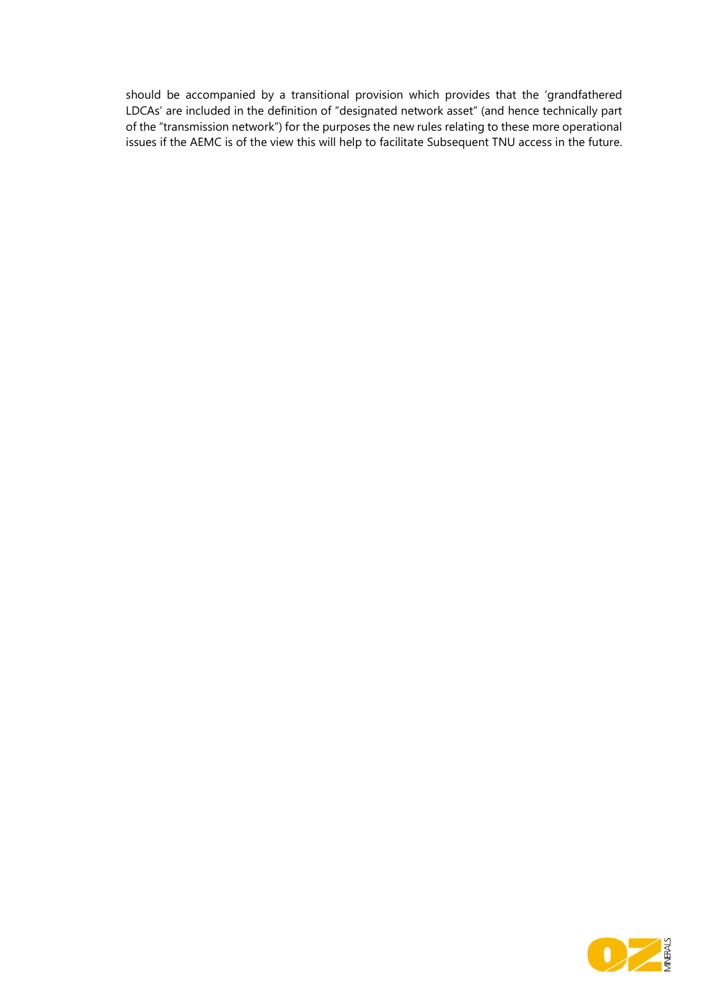should be accompanied by a transitional provision which provides that the 'grandfathered LDCAs' are included in the definition of "designated network asset" (and hence technically part of the "transmission network") for the purposes the new rules relating to these more operational issues if the AEMC is of the view this will help to facilitate Subsequent TNU access in the future.

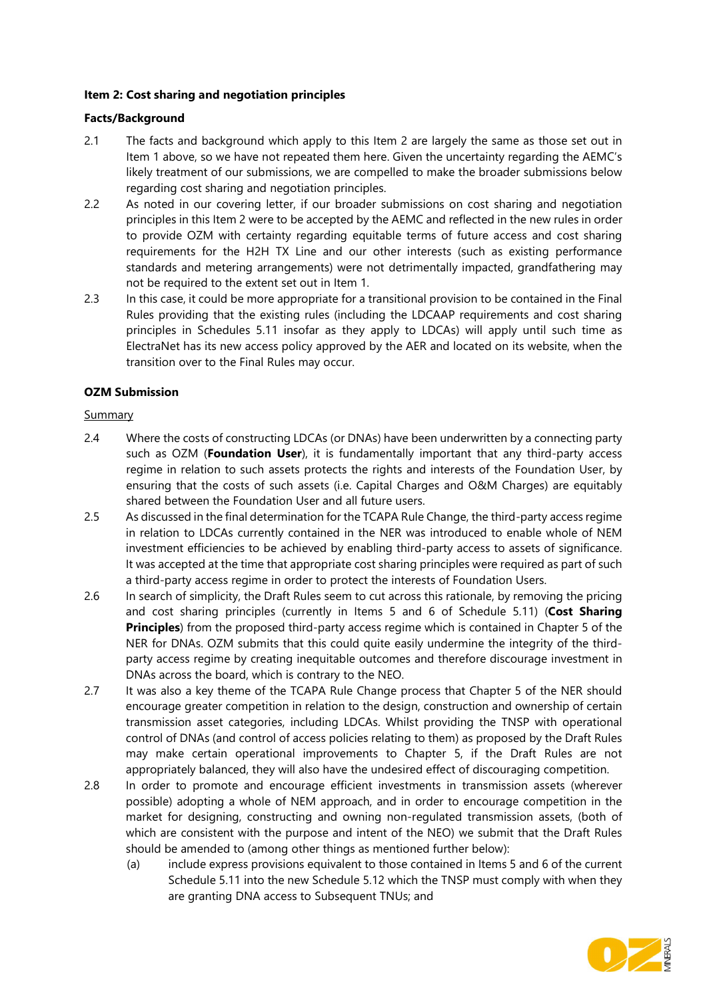## Item 2: Cost sharing and negotiation principles

## Facts/Background

- 2.1 The facts and background which apply to this Item 2 are largely the same as those set out in Item 1 above, so we have not repeated them here. Given the uncertainty regarding the AEMC's likely treatment of our submissions, we are compelled to make the broader submissions below regarding cost sharing and negotiation principles.
- 2.2 As noted in our covering letter, if our broader submissions on cost sharing and negotiation principles in this Item 2 were to be accepted by the AEMC and reflected in the new rules in order to provide OZM with certainty regarding equitable terms of future access and cost sharing requirements for the H2H TX Line and our other interests (such as existing performance standards and metering arrangements) were not detrimentally impacted, grandfathering may not be required to the extent set out in Item 1.
- 2.3 In this case, it could be more appropriate for a transitional provision to be contained in the Final Rules providing that the existing rules (including the LDCAAP requirements and cost sharing principles in Schedules 5.11 insofar as they apply to LDCAs) will apply until such time as ElectraNet has its new access policy approved by the AER and located on its website, when the transition over to the Final Rules may occur.

## OZM Submission

## Summary

- 2.4 Where the costs of constructing LDCAs (or DNAs) have been underwritten by a connecting party such as OZM (Foundation User), it is fundamentally important that any third-party access regime in relation to such assets protects the rights and interests of the Foundation User, by ensuring that the costs of such assets (i.e. Capital Charges and O&M Charges) are equitably shared between the Foundation User and all future users.
- 2.5 As discussed in the final determination for the TCAPA Rule Change, the third-party access regime in relation to LDCAs currently contained in the NER was introduced to enable whole of NEM investment efficiencies to be achieved by enabling third-party access to assets of significance. It was accepted at the time that appropriate cost sharing principles were required as part of such a third-party access regime in order to protect the interests of Foundation Users.
- 2.6 In search of simplicity, the Draft Rules seem to cut across this rationale, by removing the pricing and cost sharing principles (currently in Items 5 and 6 of Schedule 5.11) (Cost Sharing **Principles**) from the proposed third-party access regime which is contained in Chapter 5 of the NER for DNAs. OZM submits that this could quite easily undermine the integrity of the thirdparty access regime by creating inequitable outcomes and therefore discourage investment in DNAs across the board, which is contrary to the NEO.
- 2.7 It was also a key theme of the TCAPA Rule Change process that Chapter 5 of the NER should encourage greater competition in relation to the design, construction and ownership of certain transmission asset categories, including LDCAs. Whilst providing the TNSP with operational control of DNAs (and control of access policies relating to them) as proposed by the Draft Rules may make certain operational improvements to Chapter 5, if the Draft Rules are not appropriately balanced, they will also have the undesired effect of discouraging competition.
- 2.8 In order to promote and encourage efficient investments in transmission assets (wherever possible) adopting a whole of NEM approach, and in order to encourage competition in the market for designing, constructing and owning non-regulated transmission assets, (both of which are consistent with the purpose and intent of the NEO) we submit that the Draft Rules should be amended to (among other things as mentioned further below):
	- (a) include express provisions equivalent to those contained in Items 5 and 6 of the current Schedule 5.11 into the new Schedule 5.12 which the TNSP must comply with when they are granting DNA access to Subsequent TNUs; and

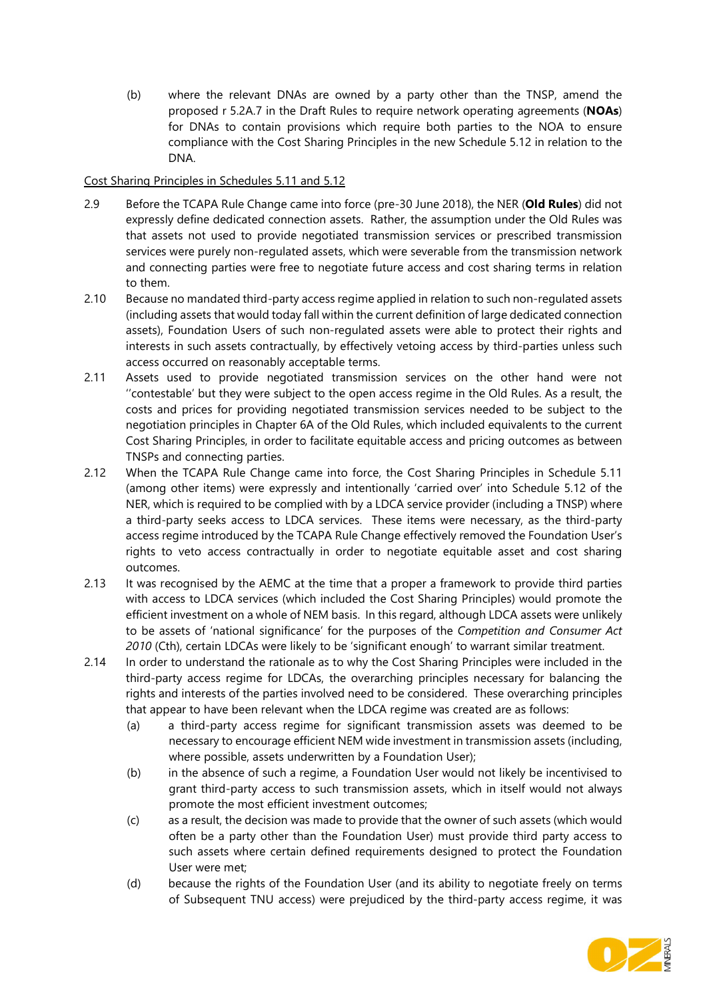(b) where the relevant DNAs are owned by a party other than the TNSP, amend the proposed r 5.2A.7 in the Draft Rules to require network operating agreements (NOAs) for DNAs to contain provisions which require both parties to the NOA to ensure compliance with the Cost Sharing Principles in the new Schedule 5.12 in relation to the DNA.

## Cost Sharing Principles in Schedules 5.11 and 5.12

- 2.9 Before the TCAPA Rule Change came into force (pre-30 June 2018), the NER (Old Rules) did not expressly define dedicated connection assets. Rather, the assumption under the Old Rules was that assets not used to provide negotiated transmission services or prescribed transmission services were purely non-regulated assets, which were severable from the transmission network and connecting parties were free to negotiate future access and cost sharing terms in relation to them.
- 2.10 Because no mandated third-party access regime applied in relation to such non-regulated assets (including assets that would today fall within the current definition of large dedicated connection assets), Foundation Users of such non-regulated assets were able to protect their rights and interests in such assets contractually, by effectively vetoing access by third-parties unless such access occurred on reasonably acceptable terms.
- 2.11 Assets used to provide negotiated transmission services on the other hand were not ''contestable' but they were subject to the open access regime in the Old Rules. As a result, the costs and prices for providing negotiated transmission services needed to be subject to the negotiation principles in Chapter 6A of the Old Rules, which included equivalents to the current Cost Sharing Principles, in order to facilitate equitable access and pricing outcomes as between TNSPs and connecting parties.
- 2.12 When the TCAPA Rule Change came into force, the Cost Sharing Principles in Schedule 5.11 (among other items) were expressly and intentionally 'carried over' into Schedule 5.12 of the NER, which is required to be complied with by a LDCA service provider (including a TNSP) where a third-party seeks access to LDCA services. These items were necessary, as the third-party access regime introduced by the TCAPA Rule Change effectively removed the Foundation User's rights to veto access contractually in order to negotiate equitable asset and cost sharing outcomes.
- 2.13 It was recognised by the AEMC at the time that a proper a framework to provide third parties with access to LDCA services (which included the Cost Sharing Principles) would promote the efficient investment on a whole of NEM basis. In this regard, although LDCA assets were unlikely to be assets of 'national significance' for the purposes of the Competition and Consumer Act 2010 (Cth), certain LDCAs were likely to be 'significant enough' to warrant similar treatment.
- 2.14 In order to understand the rationale as to why the Cost Sharing Principles were included in the third-party access regime for LDCAs, the overarching principles necessary for balancing the rights and interests of the parties involved need to be considered. These overarching principles that appear to have been relevant when the LDCA regime was created are as follows:
	- (a) a third-party access regime for significant transmission assets was deemed to be necessary to encourage efficient NEM wide investment in transmission assets (including, where possible, assets underwritten by a Foundation User);
	- (b) in the absence of such a regime, a Foundation User would not likely be incentivised to grant third-party access to such transmission assets, which in itself would not always promote the most efficient investment outcomes;
	- (c) as a result, the decision was made to provide that the owner of such assets (which would often be a party other than the Foundation User) must provide third party access to such assets where certain defined requirements designed to protect the Foundation User were met;
	- (d) because the rights of the Foundation User (and its ability to negotiate freely on terms of Subsequent TNU access) were prejudiced by the third-party access regime, it was

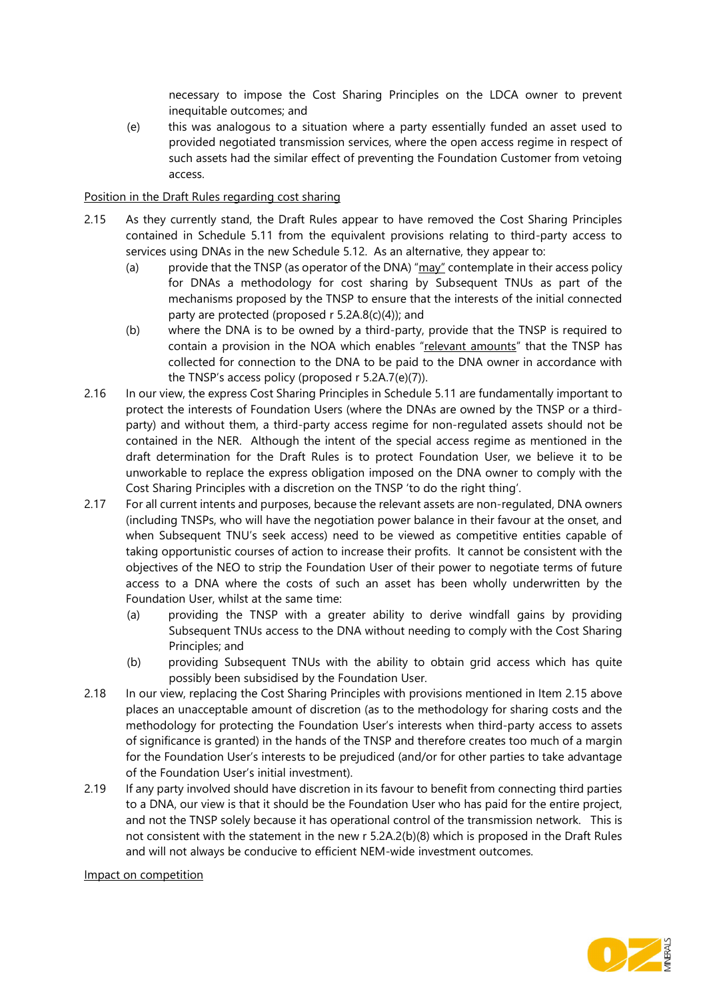necessary to impose the Cost Sharing Principles on the LDCA owner to prevent inequitable outcomes; and

(e) this was analogous to a situation where a party essentially funded an asset used to provided negotiated transmission services, where the open access regime in respect of such assets had the similar effect of preventing the Foundation Customer from vetoing access.

## Position in the Draft Rules regarding cost sharing

- 2.15 As they currently stand, the Draft Rules appear to have removed the Cost Sharing Principles contained in Schedule 5.11 from the equivalent provisions relating to third-party access to services using DNAs in the new Schedule 5.12. As an alternative, they appear to:
	- (a) provide that the TNSP (as operator of the DNA) "may" contemplate in their access policy for DNAs a methodology for cost sharing by Subsequent TNUs as part of the mechanisms proposed by the TNSP to ensure that the interests of the initial connected party are protected (proposed r 5.2A.8(c)(4)); and
	- (b) where the DNA is to be owned by a third-party, provide that the TNSP is required to contain a provision in the NOA which enables "relevant amounts" that the TNSP has collected for connection to the DNA to be paid to the DNA owner in accordance with the TNSP's access policy (proposed r 5.2A.7(e)(7)).
- 2.16 In our view, the express Cost Sharing Principles in Schedule 5.11 are fundamentally important to protect the interests of Foundation Users (where the DNAs are owned by the TNSP or a thirdparty) and without them, a third-party access regime for non-regulated assets should not be contained in the NER. Although the intent of the special access regime as mentioned in the draft determination for the Draft Rules is to protect Foundation User, we believe it to be unworkable to replace the express obligation imposed on the DNA owner to comply with the Cost Sharing Principles with a discretion on the TNSP 'to do the right thing'.
- 2.17 For all current intents and purposes, because the relevant assets are non-regulated, DNA owners (including TNSPs, who will have the negotiation power balance in their favour at the onset, and when Subsequent TNU's seek access) need to be viewed as competitive entities capable of taking opportunistic courses of action to increase their profits. It cannot be consistent with the objectives of the NEO to strip the Foundation User of their power to negotiate terms of future access to a DNA where the costs of such an asset has been wholly underwritten by the Foundation User, whilst at the same time:
	- (a) providing the TNSP with a greater ability to derive windfall gains by providing Subsequent TNUs access to the DNA without needing to comply with the Cost Sharing Principles; and
	- (b) providing Subsequent TNUs with the ability to obtain grid access which has quite possibly been subsidised by the Foundation User.
- 2.18 In our view, replacing the Cost Sharing Principles with provisions mentioned in Item 2.15 above places an unacceptable amount of discretion (as to the methodology for sharing costs and the methodology for protecting the Foundation User's interests when third-party access to assets of significance is granted) in the hands of the TNSP and therefore creates too much of a margin for the Foundation User's interests to be prejudiced (and/or for other parties to take advantage of the Foundation User's initial investment).
- 2.19 If any party involved should have discretion in its favour to benefit from connecting third parties to a DNA, our view is that it should be the Foundation User who has paid for the entire project, and not the TNSP solely because it has operational control of the transmission network. This is not consistent with the statement in the new r 5.2A.2(b)(8) which is proposed in the Draft Rules and will not always be conducive to efficient NEM-wide investment outcomes.

#### Impact on competition

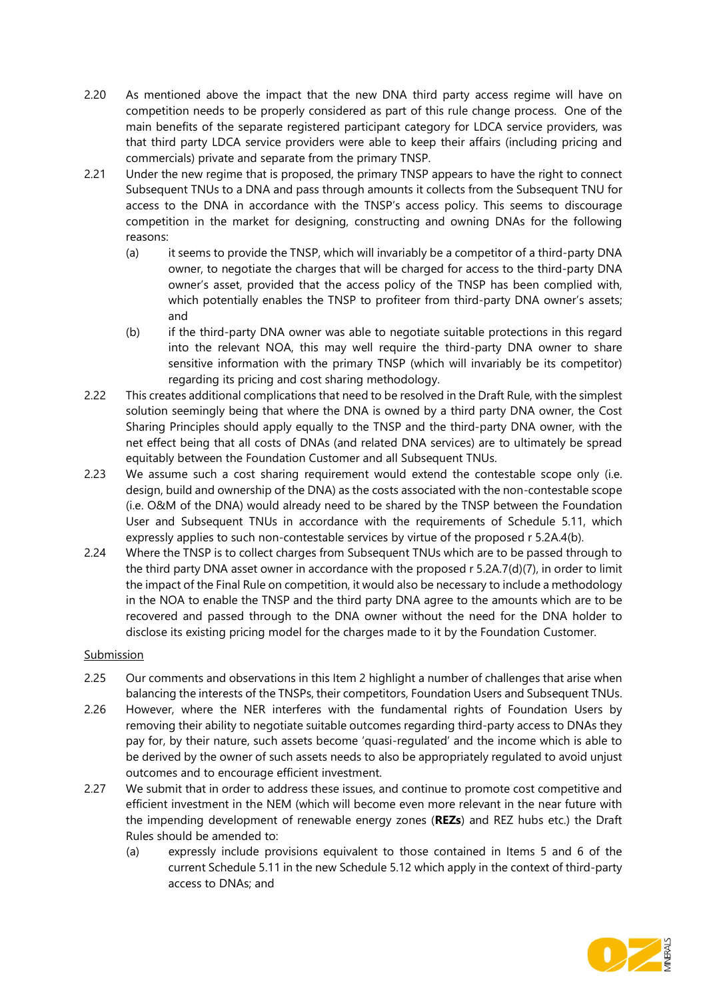- 2.20 As mentioned above the impact that the new DNA third party access regime will have on competition needs to be properly considered as part of this rule change process. One of the main benefits of the separate registered participant category for LDCA service providers, was that third party LDCA service providers were able to keep their affairs (including pricing and commercials) private and separate from the primary TNSP.
- 2.21 Under the new regime that is proposed, the primary TNSP appears to have the right to connect Subsequent TNUs to a DNA and pass through amounts it collects from the Subsequent TNU for access to the DNA in accordance with the TNSP's access policy. This seems to discourage competition in the market for designing, constructing and owning DNAs for the following reasons:
	- (a) it seems to provide the TNSP, which will invariably be a competitor of a third-party DNA owner, to negotiate the charges that will be charged for access to the third-party DNA owner's asset, provided that the access policy of the TNSP has been complied with, which potentially enables the TNSP to profiteer from third-party DNA owner's assets; and
	- (b) if the third-party DNA owner was able to negotiate suitable protections in this regard into the relevant NOA, this may well require the third-party DNA owner to share sensitive information with the primary TNSP (which will invariably be its competitor) regarding its pricing and cost sharing methodology.
- 2.22 This creates additional complications that need to be resolved in the Draft Rule, with the simplest solution seemingly being that where the DNA is owned by a third party DNA owner, the Cost Sharing Principles should apply equally to the TNSP and the third-party DNA owner, with the net effect being that all costs of DNAs (and related DNA services) are to ultimately be spread equitably between the Foundation Customer and all Subsequent TNUs.
- 2.23 We assume such a cost sharing requirement would extend the contestable scope only (i.e. design, build and ownership of the DNA) as the costs associated with the non-contestable scope (i.e. O&M of the DNA) would already need to be shared by the TNSP between the Foundation User and Subsequent TNUs in accordance with the requirements of Schedule 5.11, which expressly applies to such non-contestable services by virtue of the proposed r 5.2A.4(b).
- 2.24 Where the TNSP is to collect charges from Subsequent TNUs which are to be passed through to the third party DNA asset owner in accordance with the proposed r 5.2A.7(d)(7), in order to limit the impact of the Final Rule on competition, it would also be necessary to include a methodology in the NOA to enable the TNSP and the third party DNA agree to the amounts which are to be recovered and passed through to the DNA owner without the need for the DNA holder to disclose its existing pricing model for the charges made to it by the Foundation Customer.

## **Submission**

- 2.25 Our comments and observations in this Item 2 highlight a number of challenges that arise when balancing the interests of the TNSPs, their competitors, Foundation Users and Subsequent TNUs.
- 2.26 However, where the NER interferes with the fundamental rights of Foundation Users by removing their ability to negotiate suitable outcomes regarding third-party access to DNAs they pay for, by their nature, such assets become 'quasi-regulated' and the income which is able to be derived by the owner of such assets needs to also be appropriately regulated to avoid unjust outcomes and to encourage efficient investment.
- 2.27 We submit that in order to address these issues, and continue to promote cost competitive and efficient investment in the NEM (which will become even more relevant in the near future with the impending development of renewable energy zones (REZs) and REZ hubs etc.) the Draft Rules should be amended to:
	- (a) expressly include provisions equivalent to those contained in Items 5 and 6 of the current Schedule 5.11 in the new Schedule 5.12 which apply in the context of third-party access to DNAs; and